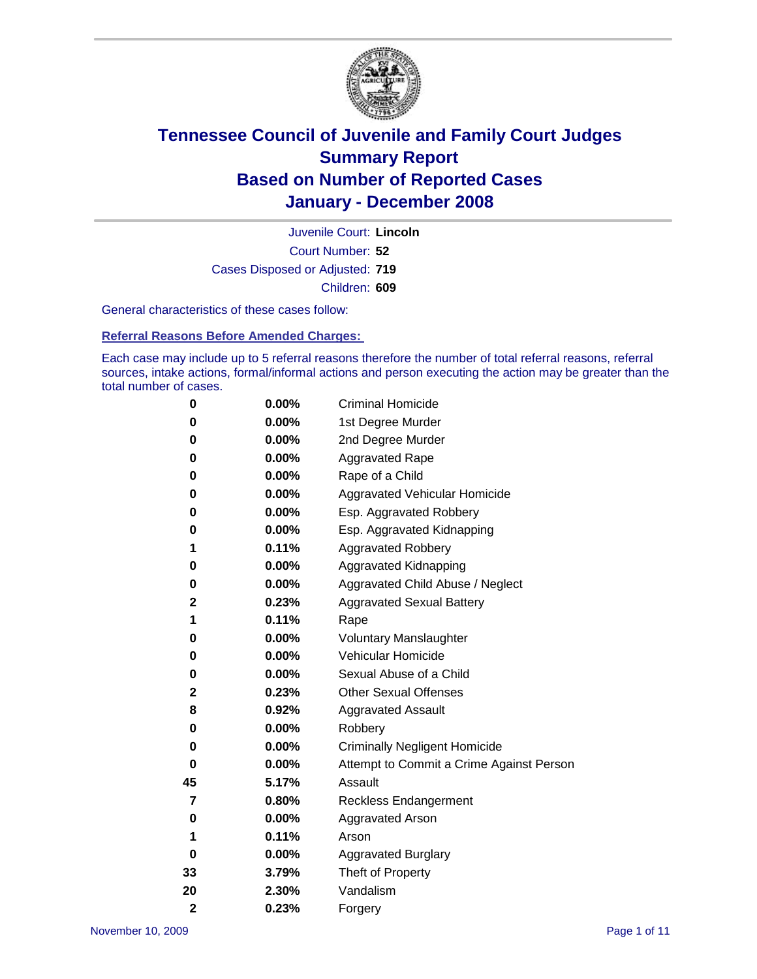

Court Number: **52** Juvenile Court: **Lincoln** Cases Disposed or Adjusted: **719** Children: **609**

General characteristics of these cases follow:

**Referral Reasons Before Amended Charges:** 

Each case may include up to 5 referral reasons therefore the number of total referral reasons, referral sources, intake actions, formal/informal actions and person executing the action may be greater than the total number of cases.

| 0              | 0.00%    | <b>Criminal Homicide</b>                 |
|----------------|----------|------------------------------------------|
| 0              | 0.00%    | 1st Degree Murder                        |
| 0              | 0.00%    | 2nd Degree Murder                        |
| 0              | 0.00%    | <b>Aggravated Rape</b>                   |
| 0              | 0.00%    | Rape of a Child                          |
| 0              | 0.00%    | Aggravated Vehicular Homicide            |
| 0              | 0.00%    | Esp. Aggravated Robbery                  |
| 0              | 0.00%    | Esp. Aggravated Kidnapping               |
| 1              | 0.11%    | <b>Aggravated Robbery</b>                |
| 0              | 0.00%    | Aggravated Kidnapping                    |
| 0              | 0.00%    | Aggravated Child Abuse / Neglect         |
| 2              | 0.23%    | <b>Aggravated Sexual Battery</b>         |
| 1              | 0.11%    | Rape                                     |
| 0              | 0.00%    | <b>Voluntary Manslaughter</b>            |
| 0              | 0.00%    | Vehicular Homicide                       |
| 0              | 0.00%    | Sexual Abuse of a Child                  |
| 2              | 0.23%    | <b>Other Sexual Offenses</b>             |
| 8              | 0.92%    | <b>Aggravated Assault</b>                |
| 0              | 0.00%    | Robbery                                  |
| 0              | 0.00%    | <b>Criminally Negligent Homicide</b>     |
| 0              | 0.00%    | Attempt to Commit a Crime Against Person |
| 45             | 5.17%    | Assault                                  |
| 7              | 0.80%    | <b>Reckless Endangerment</b>             |
| 0              | $0.00\%$ | <b>Aggravated Arson</b>                  |
| 1              | 0.11%    | Arson                                    |
| 0              | 0.00%    | <b>Aggravated Burglary</b>               |
| 33             | 3.79%    | Theft of Property                        |
| 20             | 2.30%    | Vandalism                                |
| $\overline{2}$ | 0.23%    | Forgery                                  |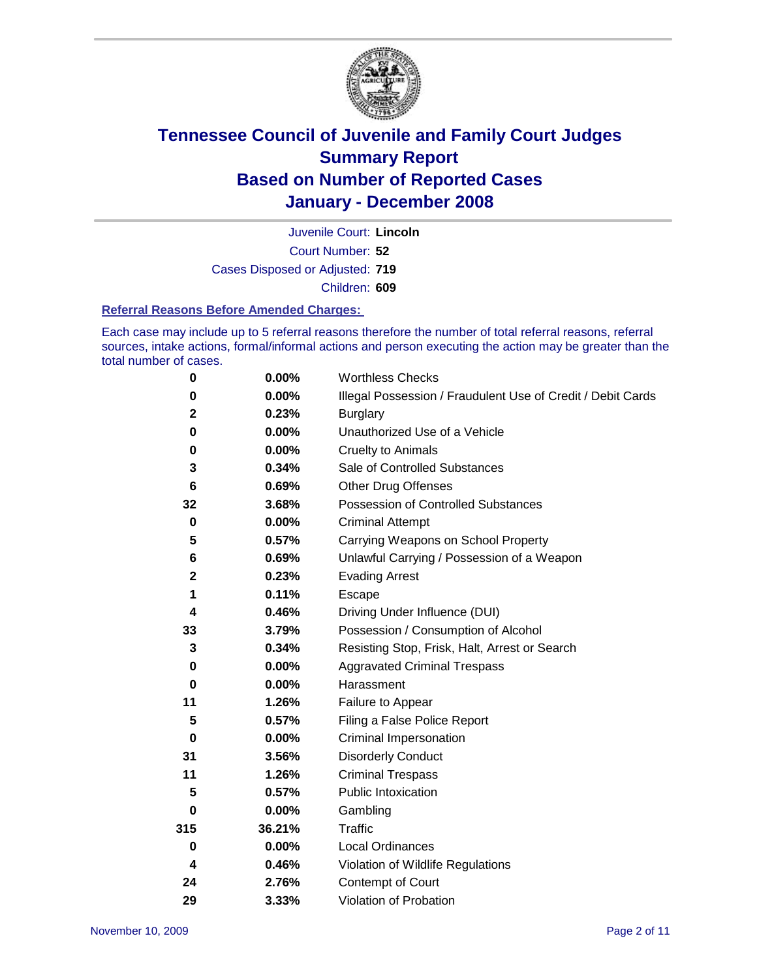

Court Number: **52** Juvenile Court: **Lincoln** Cases Disposed or Adjusted: **719** Children: **609**

#### **Referral Reasons Before Amended Charges:**

Each case may include up to 5 referral reasons therefore the number of total referral reasons, referral sources, intake actions, formal/informal actions and person executing the action may be greater than the total number of cases.

| 0           | 0.00%    | <b>Worthless Checks</b>                                     |
|-------------|----------|-------------------------------------------------------------|
| 0           | 0.00%    | Illegal Possession / Fraudulent Use of Credit / Debit Cards |
| $\mathbf 2$ | 0.23%    | <b>Burglary</b>                                             |
| 0           | 0.00%    | Unauthorized Use of a Vehicle                               |
| 0           | 0.00%    | <b>Cruelty to Animals</b>                                   |
| 3           | 0.34%    | Sale of Controlled Substances                               |
| 6           | 0.69%    | <b>Other Drug Offenses</b>                                  |
| 32          | 3.68%    | Possession of Controlled Substances                         |
| $\mathbf 0$ | 0.00%    | <b>Criminal Attempt</b>                                     |
| 5           | 0.57%    | Carrying Weapons on School Property                         |
| 6           | 0.69%    | Unlawful Carrying / Possession of a Weapon                  |
| $\mathbf 2$ | 0.23%    | <b>Evading Arrest</b>                                       |
| 1           | 0.11%    | Escape                                                      |
| 4           | 0.46%    | Driving Under Influence (DUI)                               |
| 33          | 3.79%    | Possession / Consumption of Alcohol                         |
| 3           | 0.34%    | Resisting Stop, Frisk, Halt, Arrest or Search               |
| 0           | $0.00\%$ | <b>Aggravated Criminal Trespass</b>                         |
| $\bf{0}$    | 0.00%    | Harassment                                                  |
| 11          | 1.26%    | Failure to Appear                                           |
| 5           | 0.57%    | Filing a False Police Report                                |
| $\bf{0}$    | 0.00%    | Criminal Impersonation                                      |
| 31          | 3.56%    | <b>Disorderly Conduct</b>                                   |
| 11          | 1.26%    | <b>Criminal Trespass</b>                                    |
| 5           | 0.57%    | <b>Public Intoxication</b>                                  |
| 0           | 0.00%    | Gambling                                                    |
| 315         | 36.21%   | Traffic                                                     |
| $\mathbf 0$ | $0.00\%$ | <b>Local Ordinances</b>                                     |
| 4           | 0.46%    | Violation of Wildlife Regulations                           |
| 24          | 2.76%    | Contempt of Court                                           |
| 29          | 3.33%    | Violation of Probation                                      |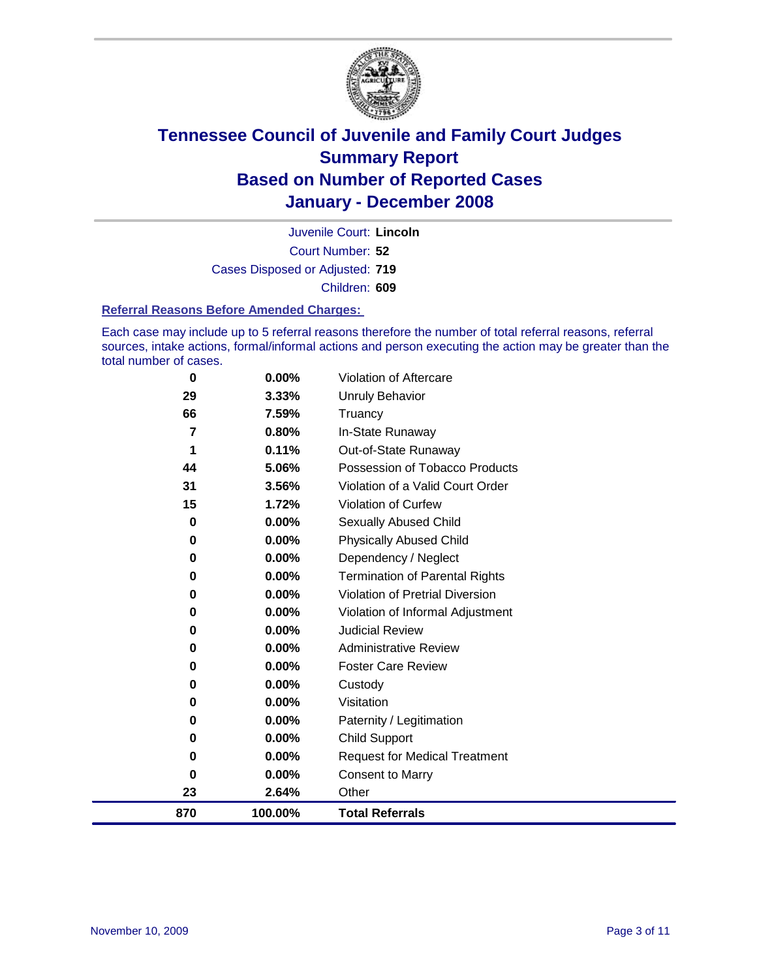

Court Number: **52** Juvenile Court: **Lincoln** Cases Disposed or Adjusted: **719** Children: **609**

#### **Referral Reasons Before Amended Charges:**

Each case may include up to 5 referral reasons therefore the number of total referral reasons, referral sources, intake actions, formal/informal actions and person executing the action may be greater than the total number of cases.

| $\bf{0}$ | 0.00%   | Violation of Aftercare                 |
|----------|---------|----------------------------------------|
| 29       | 3.33%   | <b>Unruly Behavior</b>                 |
| 66       | 7.59%   | Truancy                                |
| 7        | 0.80%   | In-State Runaway                       |
| 1        | 0.11%   | Out-of-State Runaway                   |
| 44       | 5.06%   | Possession of Tobacco Products         |
| 31       | 3.56%   | Violation of a Valid Court Order       |
| 15       | 1.72%   | Violation of Curfew                    |
| 0        | 0.00%   | Sexually Abused Child                  |
| 0        | 0.00%   | <b>Physically Abused Child</b>         |
| 0        | 0.00%   | Dependency / Neglect                   |
| 0        | 0.00%   | <b>Termination of Parental Rights</b>  |
| 0        | 0.00%   | <b>Violation of Pretrial Diversion</b> |
| 0        | 0.00%   | Violation of Informal Adjustment       |
| 0        | 0.00%   | <b>Judicial Review</b>                 |
| 0        | 0.00%   | <b>Administrative Review</b>           |
| 0        | 0.00%   | <b>Foster Care Review</b>              |
| 0        | 0.00%   | Custody                                |
| 0        | 0.00%   | Visitation                             |
| 0        | 0.00%   | Paternity / Legitimation               |
| 0        | 0.00%   | <b>Child Support</b>                   |
| 0        | 0.00%   | <b>Request for Medical Treatment</b>   |
| 0        | 0.00%   | <b>Consent to Marry</b>                |
| 23       | 2.64%   | Other                                  |
| 870      | 100.00% | <b>Total Referrals</b>                 |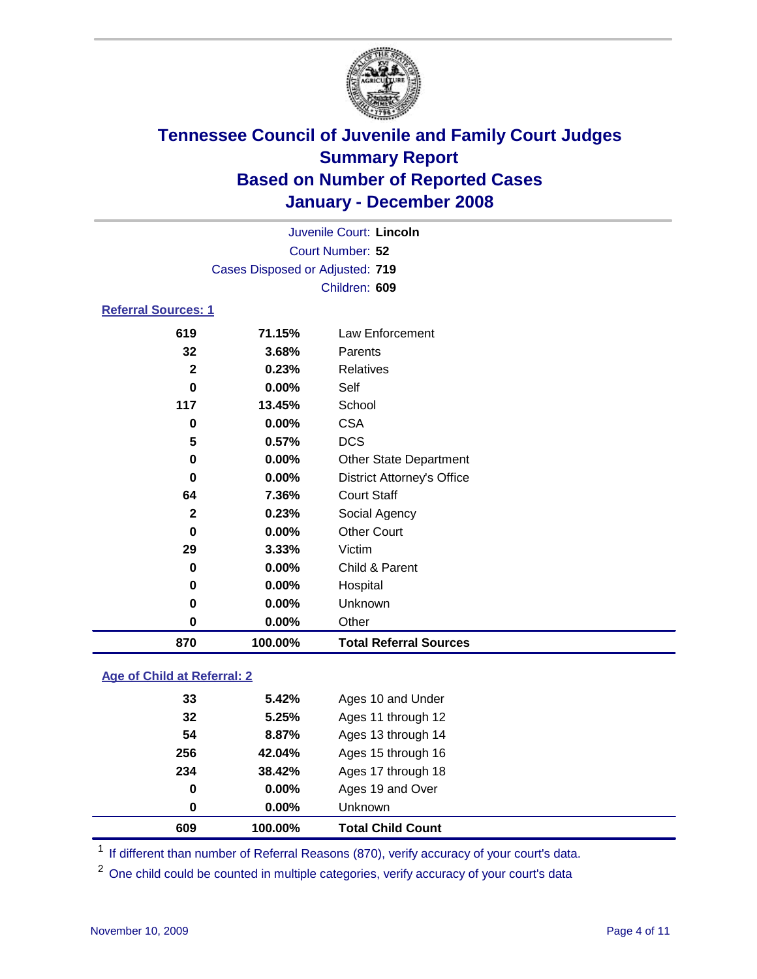

|                            |                                 | Juvenile Court: Lincoln |  |  |  |
|----------------------------|---------------------------------|-------------------------|--|--|--|
|                            |                                 | Court Number: 52        |  |  |  |
|                            | Cases Disposed or Adjusted: 719 |                         |  |  |  |
|                            | Children: 609                   |                         |  |  |  |
| <b>Referral Sources: 1</b> |                                 |                         |  |  |  |
| 619                        | 71.15%                          | Law Enforcement         |  |  |  |
| 32                         | 3.68%                           | Parents                 |  |  |  |

| 870          | 100.00% | <b>Total Referral Sources</b>     |
|--------------|---------|-----------------------------------|
| 0            | 0.00%   | Other                             |
| 0            | 0.00%   | <b>Unknown</b>                    |
| 0            | 0.00%   | Hospital                          |
| 0            | 0.00%   | Child & Parent                    |
| 29           | 3.33%   | Victim                            |
| 0            | 0.00%   | <b>Other Court</b>                |
| $\mathbf{2}$ | 0.23%   | Social Agency                     |
| 64           | 7.36%   | <b>Court Staff</b>                |
| 0            | 0.00%   | <b>District Attorney's Office</b> |
| 0            | 0.00%   | <b>Other State Department</b>     |
| 5            | 0.57%   | <b>DCS</b>                        |
| 0            | 0.00%   | <b>CSA</b>                        |
| 117          | 13.45%  | School                            |
| 0            | 0.00%   | Self                              |
| 2            | 0.23%   | Relatives                         |
| ےد           | ა.ხბ%   | Parents                           |

### **Age of Child at Referral: 2**

| 0   | $0.00\%$ | Unknown            |  |
|-----|----------|--------------------|--|
|     |          |                    |  |
| 0   | $0.00\%$ | Ages 19 and Over   |  |
| 234 | 38.42%   | Ages 17 through 18 |  |
| 256 | 42.04%   | Ages 15 through 16 |  |
| 54  | 8.87%    | Ages 13 through 14 |  |
| 32  | 5.25%    | Ages 11 through 12 |  |
| 33  | 5.42%    | Ages 10 and Under  |  |
|     |          |                    |  |

<sup>1</sup> If different than number of Referral Reasons (870), verify accuracy of your court's data.

One child could be counted in multiple categories, verify accuracy of your court's data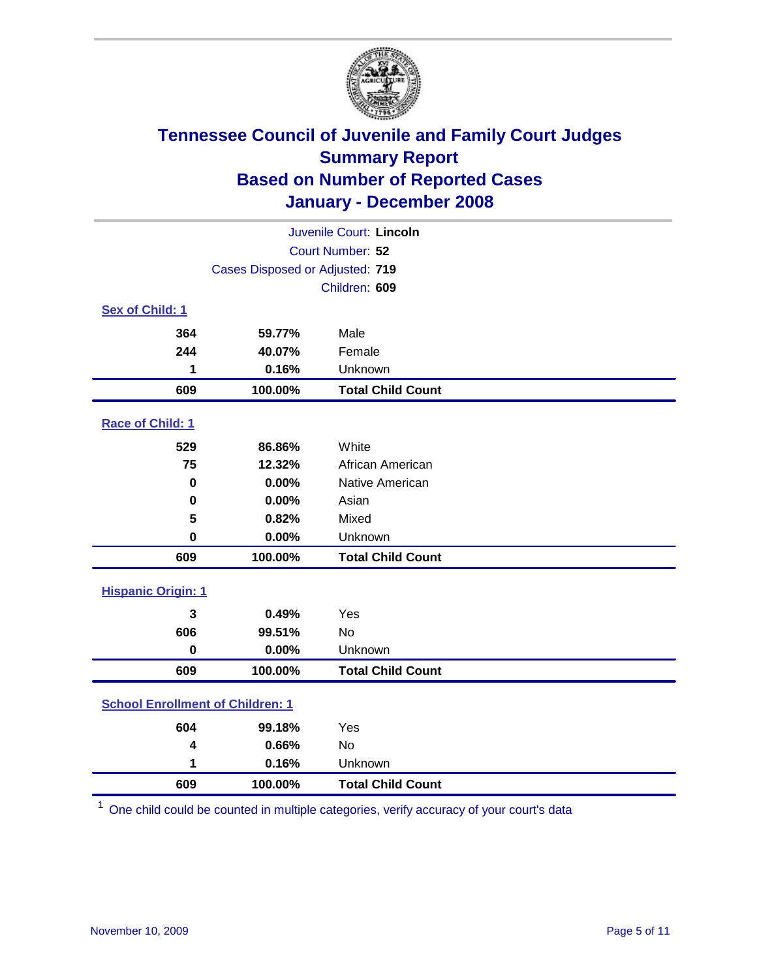

|                                         |         | Juvenile Court: Lincoln  |  |  |  |  |
|-----------------------------------------|---------|--------------------------|--|--|--|--|
| Court Number: 52                        |         |                          |  |  |  |  |
| Cases Disposed or Adjusted: 719         |         |                          |  |  |  |  |
|                                         |         | Children: 609            |  |  |  |  |
| Sex of Child: 1                         |         |                          |  |  |  |  |
| 364                                     | 59.77%  | Male                     |  |  |  |  |
| 244                                     | 40.07%  | Female                   |  |  |  |  |
| 1                                       | 0.16%   | Unknown                  |  |  |  |  |
| 609                                     | 100.00% | <b>Total Child Count</b> |  |  |  |  |
| Race of Child: 1                        |         |                          |  |  |  |  |
| 529                                     | 86.86%  | White                    |  |  |  |  |
| 75                                      | 12.32%  | African American         |  |  |  |  |
| 0                                       | 0.00%   | Native American          |  |  |  |  |
| 0                                       | 0.00%   | Asian                    |  |  |  |  |
| 5                                       | 0.82%   | Mixed                    |  |  |  |  |
| $\bf{0}$                                | 0.00%   | Unknown                  |  |  |  |  |
| 609                                     | 100.00% | <b>Total Child Count</b> |  |  |  |  |
| <b>Hispanic Origin: 1</b>               |         |                          |  |  |  |  |
| 3                                       | 0.49%   | Yes                      |  |  |  |  |
| 606                                     | 99.51%  | No                       |  |  |  |  |
| $\mathbf 0$                             | 0.00%   | Unknown                  |  |  |  |  |
| 609                                     | 100.00% | <b>Total Child Count</b> |  |  |  |  |
| <b>School Enrollment of Children: 1</b> |         |                          |  |  |  |  |
| 604                                     | 99.18%  | Yes                      |  |  |  |  |
| 4                                       | 0.66%   | No                       |  |  |  |  |
| 1                                       | 0.16%   | Unknown                  |  |  |  |  |
| 609                                     | 100.00% | <b>Total Child Count</b> |  |  |  |  |

One child could be counted in multiple categories, verify accuracy of your court's data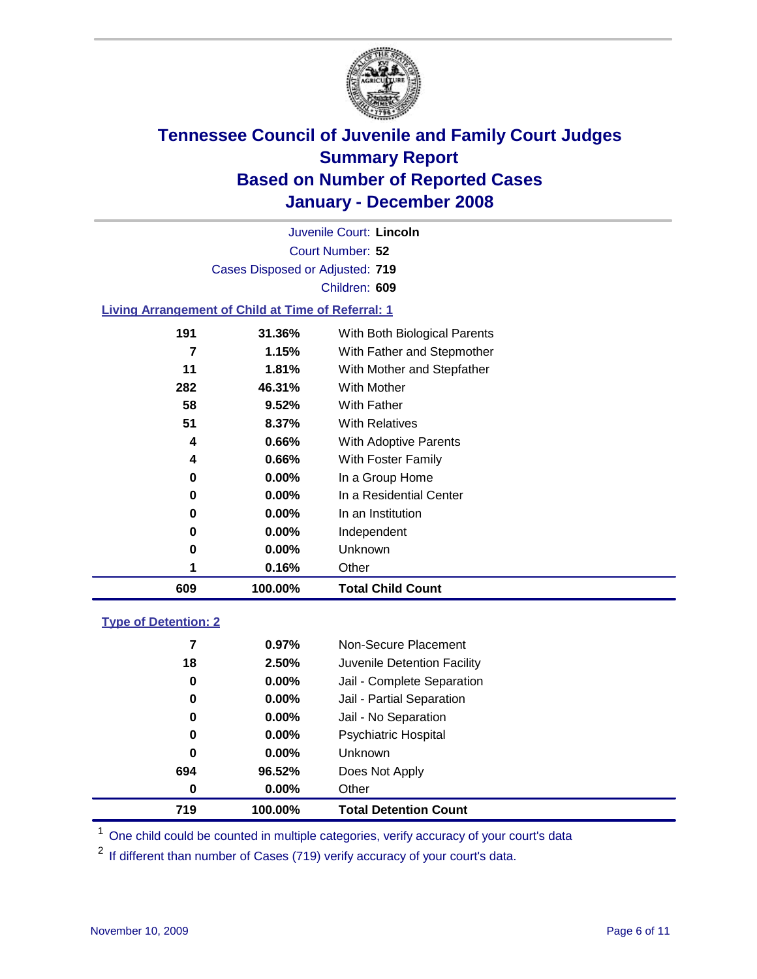

Court Number: **52** Juvenile Court: **Lincoln** Cases Disposed or Adjusted: **719** Children: **609**

#### **Living Arrangement of Child at Time of Referral: 1**

| 609 | 100.00%  | <b>Total Child Count</b>     |
|-----|----------|------------------------------|
|     | 0.16%    | Other                        |
| 0   | 0.00%    | Unknown                      |
| 0   | $0.00\%$ | Independent                  |
| 0   | $0.00\%$ | In an Institution            |
| 0   | $0.00\%$ | In a Residential Center      |
| 0   | 0.00%    | In a Group Home              |
| 4   | 0.66%    | With Foster Family           |
| 4   | 0.66%    | With Adoptive Parents        |
| 51  | 8.37%    | <b>With Relatives</b>        |
| 58  | 9.52%    | With Father                  |
| 282 | 46.31%   | With Mother                  |
| 11  | 1.81%    | With Mother and Stepfather   |
| 7   | 1.15%    | With Father and Stepmother   |
| 191 | 31.36%   | With Both Biological Parents |
|     |          |                              |

#### **Type of Detention: 2**

| 719 | 100.00%  | <b>Total Detention Count</b> |
|-----|----------|------------------------------|
| 0   | $0.00\%$ | Other                        |
| 694 | 96.52%   | Does Not Apply               |
| 0   | $0.00\%$ | <b>Unknown</b>               |
| 0   | $0.00\%$ | <b>Psychiatric Hospital</b>  |
| 0   | $0.00\%$ | Jail - No Separation         |
| 0   | $0.00\%$ | Jail - Partial Separation    |
| 0   | $0.00\%$ | Jail - Complete Separation   |
| 18  | 2.50%    | Juvenile Detention Facility  |
| 7   | 0.97%    | Non-Secure Placement         |
|     |          |                              |

<sup>1</sup> One child could be counted in multiple categories, verify accuracy of your court's data

<sup>2</sup> If different than number of Cases (719) verify accuracy of your court's data.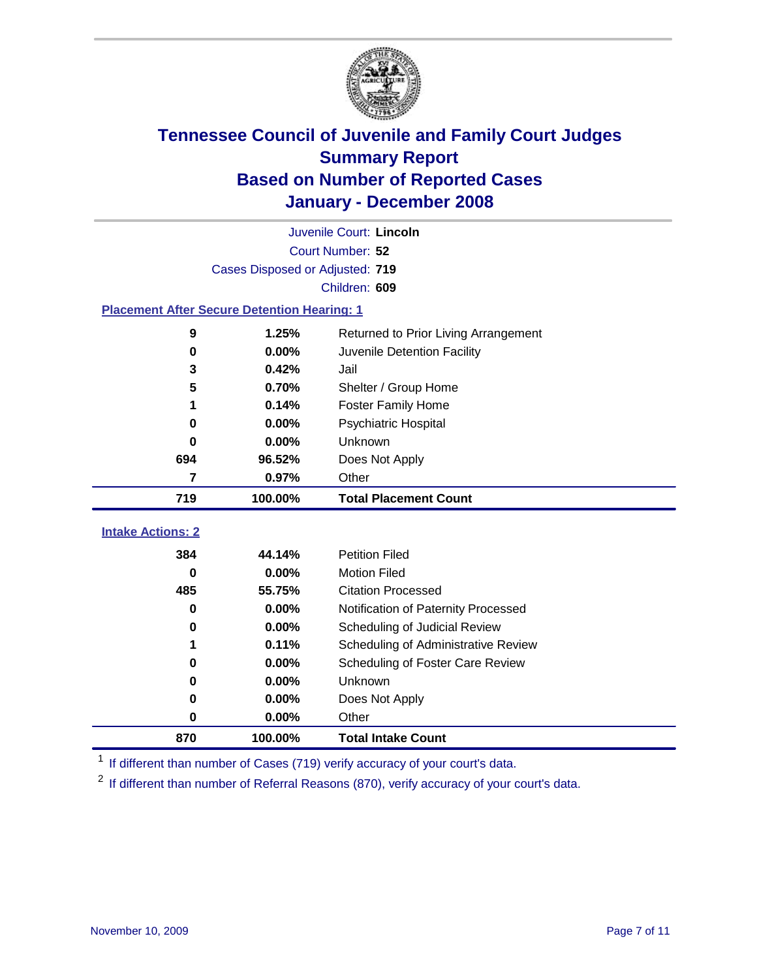

|                                                    | Juvenile Court: Lincoln         |                                      |  |  |  |  |  |
|----------------------------------------------------|---------------------------------|--------------------------------------|--|--|--|--|--|
|                                                    | Court Number: 52                |                                      |  |  |  |  |  |
|                                                    | Cases Disposed or Adjusted: 719 |                                      |  |  |  |  |  |
|                                                    | Children: 609                   |                                      |  |  |  |  |  |
| <b>Placement After Secure Detention Hearing: 1</b> |                                 |                                      |  |  |  |  |  |
| 9                                                  | 1.25%                           | Returned to Prior Living Arrangement |  |  |  |  |  |
| $\bf{0}$                                           | 0.00%                           | Juvenile Detention Facility          |  |  |  |  |  |
| 3                                                  | 0.42%                           | Jail                                 |  |  |  |  |  |
| 5                                                  | 0.70%                           | Shelter / Group Home                 |  |  |  |  |  |
| 1                                                  | 0.14%                           | Foster Family Home                   |  |  |  |  |  |
| $\bf{0}$                                           | 0.00%                           | Psychiatric Hospital                 |  |  |  |  |  |
| 0                                                  | 0.00%                           | Unknown                              |  |  |  |  |  |
| 694                                                | 96.52%                          | Does Not Apply                       |  |  |  |  |  |
| 7                                                  | 0.97%                           | Other                                |  |  |  |  |  |
| 719                                                | 100.00%                         | <b>Total Placement Count</b>         |  |  |  |  |  |
| <b>Intake Actions: 2</b>                           |                                 |                                      |  |  |  |  |  |
| 384                                                | 44.14%                          | <b>Petition Filed</b>                |  |  |  |  |  |
| $\bf{0}$                                           | 0.00%                           | <b>Motion Filed</b>                  |  |  |  |  |  |
| 485                                                | 55.75%                          | <b>Citation Processed</b>            |  |  |  |  |  |
| $\bf{0}$                                           | 0.00%                           |                                      |  |  |  |  |  |
| $\bf{0}$                                           | 0.00%                           | Notification of Paternity Processed  |  |  |  |  |  |
|                                                    | 0.11%                           | Scheduling of Judicial Review        |  |  |  |  |  |
| 1                                                  |                                 | Scheduling of Administrative Review  |  |  |  |  |  |
| 0                                                  | 0.00%                           | Scheduling of Foster Care Review     |  |  |  |  |  |
| 0                                                  | 0.00%                           | Unknown                              |  |  |  |  |  |
| 0                                                  | 0.00%                           | Does Not Apply                       |  |  |  |  |  |
| $\bf{0}$                                           | 0.00%                           | Other                                |  |  |  |  |  |
| 870                                                | 100.00%                         | <b>Total Intake Count</b>            |  |  |  |  |  |

<sup>1</sup> If different than number of Cases (719) verify accuracy of your court's data.

<sup>2</sup> If different than number of Referral Reasons (870), verify accuracy of your court's data.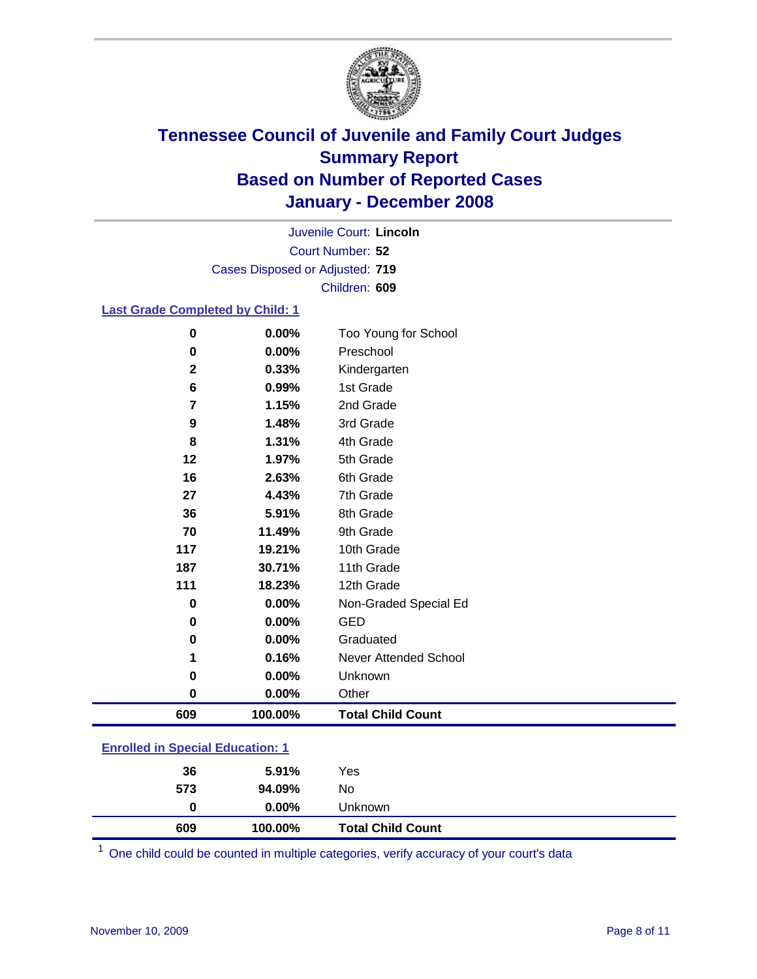

Court Number: **52** Juvenile Court: **Lincoln** Cases Disposed or Adjusted: **719** Children: **609**

### **Last Grade Completed by Child: 1**

| 0           | 0.00%   | Too Young for School     |
|-------------|---------|--------------------------|
| 0           | 0.00%   | Preschool                |
| $\mathbf 2$ | 0.33%   | Kindergarten             |
| 6           | 0.99%   | 1st Grade                |
| 7           | 1.15%   | 2nd Grade                |
| 9           | 1.48%   | 3rd Grade                |
| 8           | 1.31%   | 4th Grade                |
| 12          | 1.97%   | 5th Grade                |
| 16          | 2.63%   | 6th Grade                |
| 27          | 4.43%   | 7th Grade                |
| 36          | 5.91%   | 8th Grade                |
| 70          | 11.49%  | 9th Grade                |
| 117         | 19.21%  | 10th Grade               |
| 187         | 30.71%  | 11th Grade               |
| 111         | 18.23%  | 12th Grade               |
| 0           | 0.00%   | Non-Graded Special Ed    |
| 0           | 0.00%   | <b>GED</b>               |
| 0           | 0.00%   | Graduated                |
| 1           | 0.16%   | Never Attended School    |
| 0           | 0.00%   | Unknown                  |
| 0           | 0.00%   | Other                    |
| 609         | 100.00% | <b>Total Child Count</b> |

### **Enrolled in Special Education: 1**

| 609 | 100.00%  | <b>Total Child Count</b> |  |
|-----|----------|--------------------------|--|
| 0   | $0.00\%$ | Unknown                  |  |
| 573 | 94.09%   | No                       |  |
| 36  | $5.91\%$ | Yes                      |  |
|     |          |                          |  |

<sup>1</sup> One child could be counted in multiple categories, verify accuracy of your court's data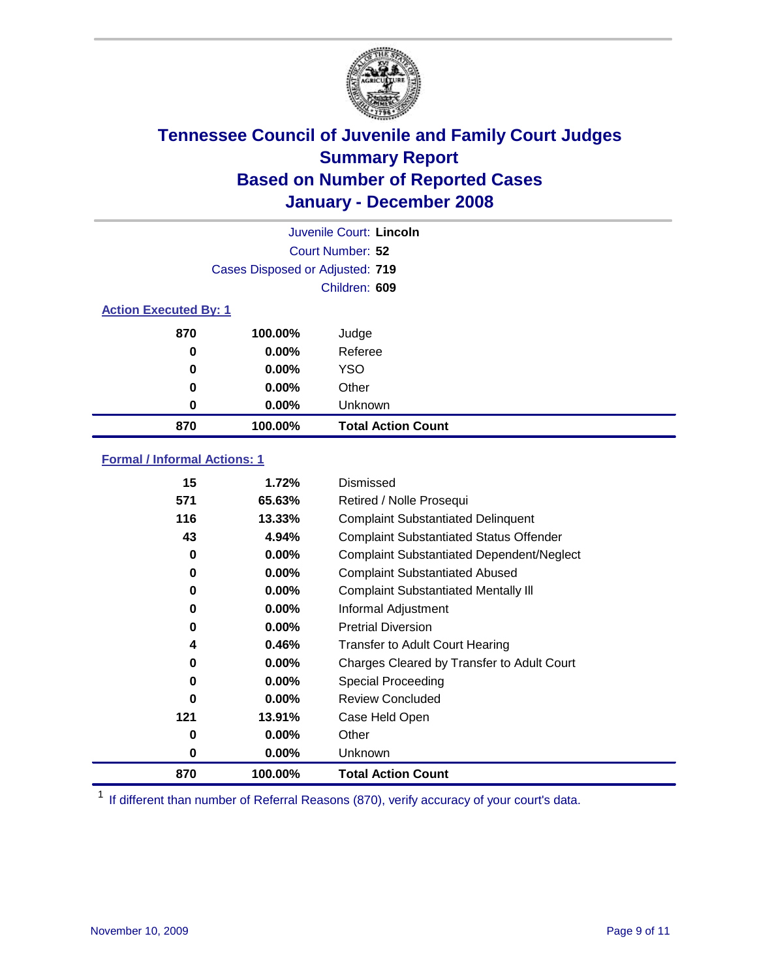

|                              |                                 | Juvenile Court: Lincoln   |
|------------------------------|---------------------------------|---------------------------|
|                              |                                 | Court Number: 52          |
|                              | Cases Disposed or Adjusted: 719 |                           |
|                              |                                 | Children: 609             |
| <b>Action Executed By: 1</b> |                                 |                           |
| 870                          | 100.00%                         | Judge                     |
| 0                            | $0.00\%$                        | Referee                   |
| 0                            | $0.00\%$                        | <b>YSO</b>                |
| 0                            | $0.00\%$                        | Other                     |
| 0                            | $0.00\%$                        | Unknown                   |
| 870                          | 100.00%                         | <b>Total Action Count</b> |

### **Formal / Informal Actions: 1**

| 15  | 1.72%     | Dismissed                                        |
|-----|-----------|--------------------------------------------------|
| 571 | 65.63%    | Retired / Nolle Prosequi                         |
| 116 | $13.33\%$ | <b>Complaint Substantiated Delinquent</b>        |
| 43  | 4.94%     | <b>Complaint Substantiated Status Offender</b>   |
| 0   | 0.00%     | <b>Complaint Substantiated Dependent/Neglect</b> |
| 0   | 0.00%     | <b>Complaint Substantiated Abused</b>            |
| 0   | $0.00\%$  | <b>Complaint Substantiated Mentally III</b>      |
| 0   | $0.00\%$  | Informal Adjustment                              |
| 0   | $0.00\%$  | <b>Pretrial Diversion</b>                        |
| 4   | 0.46%     | <b>Transfer to Adult Court Hearing</b>           |
| 0   | $0.00\%$  | Charges Cleared by Transfer to Adult Court       |
| 0   | $0.00\%$  | Special Proceeding                               |
| 0   | $0.00\%$  | <b>Review Concluded</b>                          |
| 121 | 13.91%    | Case Held Open                                   |
| 0   | $0.00\%$  | Other                                            |
| 0   | $0.00\%$  | Unknown                                          |
| 870 | 100.00%   | <b>Total Action Count</b>                        |

<sup>1</sup> If different than number of Referral Reasons (870), verify accuracy of your court's data.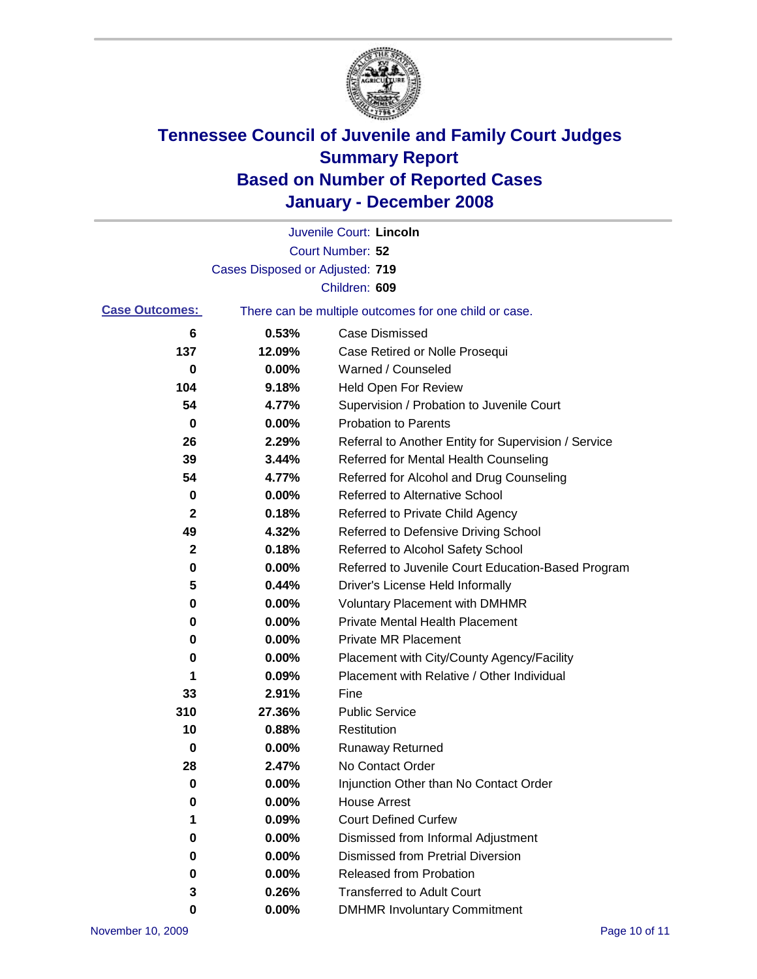

|                       |                                 | Juvenile Court: Lincoln                               |
|-----------------------|---------------------------------|-------------------------------------------------------|
|                       |                                 | Court Number: 52                                      |
|                       | Cases Disposed or Adjusted: 719 |                                                       |
|                       |                                 | Children: 609                                         |
| <b>Case Outcomes:</b> |                                 | There can be multiple outcomes for one child or case. |
| 6                     | 0.53%                           | <b>Case Dismissed</b>                                 |
| 137                   | 12.09%                          | Case Retired or Nolle Prosequi                        |
| 0                     | 0.00%                           | Warned / Counseled                                    |
| 104                   | 9.18%                           | <b>Held Open For Review</b>                           |
| 54                    | 4.77%                           | Supervision / Probation to Juvenile Court             |
| 0                     | 0.00%                           | <b>Probation to Parents</b>                           |
| 26                    | 2.29%                           | Referral to Another Entity for Supervision / Service  |
| 39                    | 3.44%                           | Referred for Mental Health Counseling                 |
| 54                    | 4.77%                           | Referred for Alcohol and Drug Counseling              |
| 0                     | 0.00%                           | Referred to Alternative School                        |
| $\mathbf{2}$          | 0.18%                           | Referred to Private Child Agency                      |
| 49                    | 4.32%                           | Referred to Defensive Driving School                  |
| $\mathbf{2}$          | 0.18%                           | Referred to Alcohol Safety School                     |
| 0                     | 0.00%                           | Referred to Juvenile Court Education-Based Program    |
| 5                     | 0.44%                           | Driver's License Held Informally                      |
| 0                     | 0.00%                           | <b>Voluntary Placement with DMHMR</b>                 |
| 0                     | 0.00%                           | <b>Private Mental Health Placement</b>                |
| 0                     | 0.00%                           | <b>Private MR Placement</b>                           |
| 0                     | 0.00%                           | Placement with City/County Agency/Facility            |
| 1                     | 0.09%                           | Placement with Relative / Other Individual            |
| 33                    | 2.91%                           | Fine                                                  |
| 310                   | 27.36%                          | <b>Public Service</b>                                 |
| 10                    | 0.88%                           | Restitution                                           |
| 0                     | 0.00%                           | <b>Runaway Returned</b>                               |
| 28                    | 2.47%                           | No Contact Order                                      |
| 0                     | 0.00%                           | Injunction Other than No Contact Order                |
| 0                     | 0.00%                           | <b>House Arrest</b>                                   |
| 1                     | 0.09%                           | <b>Court Defined Curfew</b>                           |
| 0                     | 0.00%                           | Dismissed from Informal Adjustment                    |
| 0                     | 0.00%                           | <b>Dismissed from Pretrial Diversion</b>              |
| 0                     | 0.00%                           | <b>Released from Probation</b>                        |
| 3                     | 0.26%                           | <b>Transferred to Adult Court</b>                     |
| 0                     | $0.00\%$                        | <b>DMHMR Involuntary Commitment</b>                   |